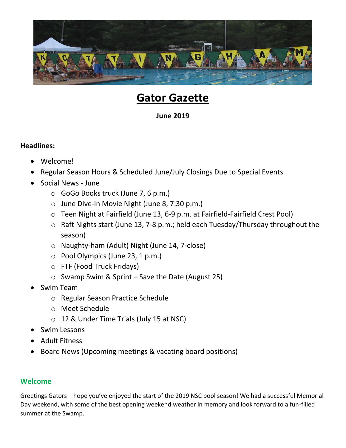

# **Gator Gazette**

# **June 2019**

# **Headlines:**

- Welcome!
- Regular Season Hours & Scheduled June/July Closings Due to Special Events
- Social News June
	- o GoGo Books truck (June 7, 6 p.m.)
	- o June Dive-in Movie Night (June 8, 7:30 p.m.)
	- o Teen Night at Fairfield (June 13, 6-9 p.m. at Fairfield-Fairfield Crest Pool)
	- o Raft Nights start (June 13, 7-8 p.m.; held each Tuesday/Thursday throughout the season)
	- o Naughty-ham (Adult) Night (June 14, 7-close)
	- o Pool Olympics (June 23, 1 p.m.)
	- o FTF (Food Truck Fridays)
	- $\circ$  Swamp Swim & Sprint Save the Date (August 25)
- Swim Team
	- o Regular Season Practice Schedule
	- o Meet Schedule
	- o 12 & Under Time Trials (July 15 at NSC)
- Swim Lessons
- Adult Fitness
- Board News (Upcoming meetings & vacating board positions)

# **Welcome**

Greetings Gators – hope you've enjoyed the start of the 2019 NSC pool season! We had a successful Memorial Day weekend, with some of the best opening weekend weather in memory and look forward to a fun-filled summer at the Swamp.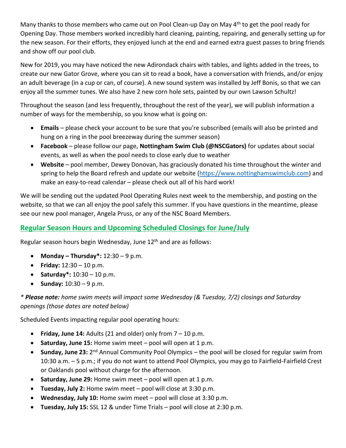Many thanks to those members who came out on Pool Clean-up Day on May 4<sup>th</sup> to get the pool ready for Opening Day. Those members worked incredibly hard cleaning, painting, repairing, and generally setting up for the new season. For their efforts, they enjoyed lunch at the end and earned extra guest passes to bring friends and show off our pool club.

New for 2019, you may have noticed the new Adirondack chairs with tables, and lights added in the trees, to create our new Gator Grove, where you can sit to read a book, have a conversation with friends, and/or enjoy an adult beverage (in a cup or can, of course). A new sound system was installed by Jeff Bonis, so that we can enjoy all the summer tunes. We also have 2 new corn hole sets, painted by our own Lawson Schultz!

Throughout the season (and less frequently, throughout the rest of the year), we will publish information a number of ways for the membership, so you know what is going on:

- **Emails** please check your account to be sure that you're subscribed (emails will also be printed and hung on a ring in the pool breezeway during the summer season)
- **Facebook**  please follow our page, **Nottingham Swim Club (@NSCGators)** for updates about social events, as well as when the pool needs to close early due to weather
- **Website** pool member, Dewey Donovan, has graciously donated his time throughout the winter and spring to help the Board refresh and update our website [\(https://www.nottinghamswimclub.com\)](https://www.nottinghamswimclub.com/) and make an easy-to-read calendar – please check out all of his hard work!

We will be sending out the updated Pool Operating Rules next week to the membership, and posting on the website, so that we can all enjoy the pool safely this summer. If you have questions in the meantime, please see our new pool manager, Angela Pruss, or any of the NSC Board Members.

# **Regular Season Hours and Upcoming Scheduled Closings for June/July**

Regular season hours begin Wednesday, June 12<sup>th</sup> and are as follows:

- **Monday – Thursday\*:** 12:30 9 p.m.
- **Friday:** 12:30 10 p.m.
- **Saturday\*:** 10:30 10 p.m.
- **Sunday:**  $10:30 9$  p.m.

*\* Please note: home swim meets will impact some Wednesday (& Tuesday, 7/2) closings and Saturday openings (those dates are noted below)*

Scheduled Events impacting regular pool operating hours:

- **Friday, June 14:** Adults (21 and older) only from 7 10 p.m.
- **Saturday, June 15:** Home swim meet pool will open at 1 p.m.
- Sunday, June 23: 2<sup>nd</sup> Annual Community Pool Olympics the pool will be closed for regular swim from 10:30 a.m. – 5 p.m.; if you do not want to attend Pool Olympics, you may go to Fairfield-Fairfield Crest or Oaklands pool without charge for the afternoon.
- **Saturday, June 29:** Home swim meet pool will open at 1 p.m.
- **Tuesday, July 2:** Home swim meet pool will close at 3:30 p.m.
- **Wednesday, July 10:** Home swim meet pool will close at 3:30 p.m.
- **Tuesday, July 15:** SSL 12 & under Time Trials pool will close at 2:30 p.m.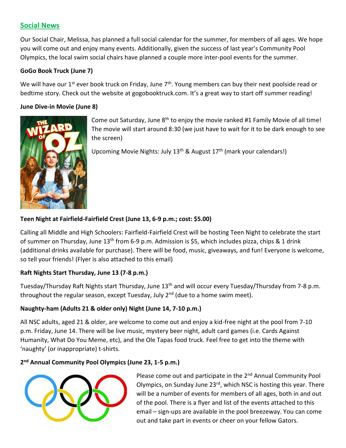# **Social News**

Our Social Chair, Melissa, has planned a full social calendar for the summer, for members of all ages. We hope you will come out and enjoy many events. Additionally, given the success of last year's Community Pool Olympics, the local swim social chairs have planned a couple more inter-pool events for the summer.

#### **GoGo Book Truck (June 7)**

We will have our  $1^{st}$  ever book truck on Friday, June  $7^{th}$ . Young members can buy their next poolside read or bedtime story. Check out the website at gogobooktruck.com. It's a great way to start off summer reading!

#### **June Dive-in Movie (June 8)**



Come out Saturday, June 8<sup>th</sup> to enjoy the movie ranked #1 Family Movie of all time! The movie will start around 8:30 (we just have to wait for it to be dark enough to see the screen)

Upcoming Movie Nights: July 13<sup>th</sup> & August 17<sup>th</sup> (mark your calendars!)

#### **Teen Night at Fairfield-Fairfield Crest (June 13, 6-9 p.m.; cost: \$5.00)**

Calling all Middle and High Schoolers: Fairfield-Fairfield Crest will be hosting Teen Night to celebrate the start of summer on Thursday, June  $13<sup>th</sup>$  from 6-9 p.m. Admission is \$5, which includes pizza, chips & 1 drink (additional drinks available for purchase). There will be food, music, giveaways, and fun! Everyone is welcome, so tell your friends! (Flyer is also attached to this email)

## **Raft Nights Start Thursday, June 13 (7-8 p.m.)**

Tuesday/Thursday Raft Nights start Thursday, June 13<sup>th</sup> and will occur every Tuesday/Thursday from 7-8 p.m. throughout the regular season, except Tuesday, July  $2^{nd}$  (due to a home swim meet).

#### **Naughty-ham (Adults 21 & older only) Night (June 14, 7-10 p.m.)**

All NSC adults, aged 21 & older, are welcome to come out and enjoy a kid-free night at the pool from 7-10 p.m. Friday, June 14. There will be live music, mystery beer night, adult card games (i.e. Cards Against Humanity, What Do You Meme, etc), and the Ole Tapas food truck. Feel free to get into the theme with 'naughty' (or inappropriate) t-shirts.

## **2 nd Annual Community Pool Olympics (June 23, 1-5 p.m.)**



Please come out and participate in the 2<sup>nd</sup> Annual Community Pool Olympics, on Sunday June 23<sup>rd</sup>, which NSC is hosting this year. There will be a number of events for members of all ages, both in and out of the pool. There is a flyer and list of the events attached to this email – sign-ups are available in the pool breezeway. You can come out and take part in events or cheer on your fellow Gators.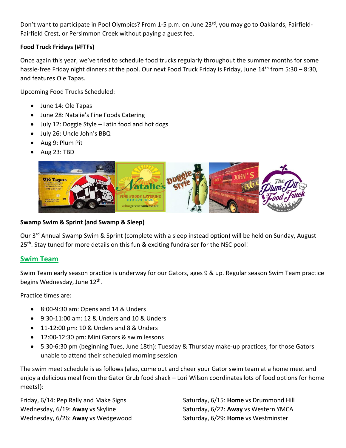Don't want to participate in Pool Olympics? From 1-5 p.m. on June 23<sup>rd</sup>, you may go to Oaklands, Fairfield-Fairfield Crest, or Persimmon Creek without paying a guest fee.

## **Food Truck Fridays (#FTFs)**

Once again this year, we've tried to schedule food trucks regularly throughout the summer months for some hassle-free Friday night dinners at the pool. Our next Food Truck Friday is Friday, June 14<sup>th</sup> from 5:30 - 8:30, and features Ole Tapas.

Upcoming Food Trucks Scheduled:

- June 14: Ole Tapas
- June 28: Natalie's Fine Foods Catering
- July 12: Doggie Style Latin food and hot dogs
- July 26: Uncle John's BBQ
- Aug 9: Plum Pit
- Aug 23: TBD



#### **Swamp Swim & Sprint (and Swamp & Sleep)**

Our 3<sup>rd</sup> Annual Swamp Swim & Sprint (complete with a sleep instead option) will be held on Sunday, August 25<sup>th</sup>. Stay tuned for more details on this fun & exciting fundraiser for the NSC pool!

## **Swim Team**

Swim Team early season practice is underway for our Gators, ages 9 & up. Regular season Swim Team practice begins Wednesday, June 12<sup>th</sup>.

Practice times are:

- 8:00-9:30 am: Opens and 14 & Unders
- 9:30-11:00 am: 12 & Unders and 10 & Unders
- $\bullet$  11-12:00 pm: 10 & Unders and 8 & Unders
- 12:00-12:30 pm: Mini Gators & swim lessons
- 5:30-6:30 pm (beginning Tues, June 18th): Tuesday & Thursday make-up practices, for those Gators unable to attend their scheduled morning session

The swim meet schedule is as follows (also, come out and cheer your Gator swim team at a home meet and enjoy a delicious meal from the Gator Grub food shack – Lori Wilson coordinates lots of food options for home meets!):

Wednesday, 6/19: **Away** vs Skyline Saturday, 6/22: **Away** vs Western YMCA Wednesday, 6/26: Away vs Wedgewood Saturday, 6/29: Home vs Westminster

Friday, 6/14: Pep Rally and Make Signs Saturday, 6/15: **Home** vs Drummond Hill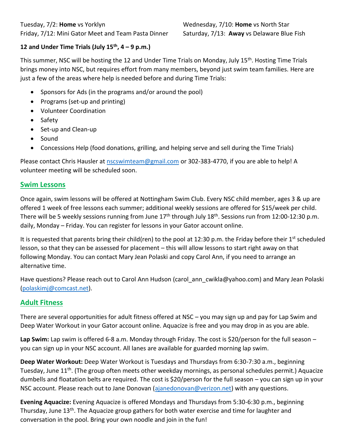# **12 and Under Time Trials (July 15th, 4 – 9 p.m.)**

This summer, NSC will be hosting the 12 and Under Time Trials on Monday, July 15<sup>th</sup>. Hosting Time Trials brings money into NSC, but requires effort from many members, beyond just swim team families. Here are just a few of the areas where help is needed before and during Time Trials:

- Sponsors for Ads (in the programs and/or around the pool)
- Programs (set-up and printing)
- Volunteer Coordination
- Safety
- Set-up and Clean-up
- Sound
- Concessions Help (food donations, grilling, and helping serve and sell during the Time Trials)

Please contact Chris Hausler a[t nscswimteam@gmail.com](mailto:nscswimteam@gmail.com) or 302-383-4770, if you are able to help! A volunteer meeting will be scheduled soon.

## **Swim Lessons**

Once again, swim lessons will be offered at Nottingham Swim Club. Every NSC child member, ages 3 & up are offered 1 week of free lessons each summer; additional weekly sessions are offered for \$15/week per child. There will be 5 weekly sessions running from June  $17<sup>th</sup>$  through July  $18<sup>th</sup>$ . Sessions run from 12:00-12:30 p.m. daily, Monday – Friday. You can register for lessons in your Gator account online.

It is requested that parents bring their child(ren) to the pool at 12:30 p.m. the Friday before their 1<sup>st</sup> scheduled lesson, so that they can be assessed for placement – this will allow lessons to start right away on that following Monday. You can contact Mary Jean Polaski and copy Carol Ann, if you need to arrange an alternative time.

Have questions? Please reach out to Carol Ann Hudson (carol ann cwikla@yahoo.com) and Mary Jean Polaski [\(polaskimj@comcast.net\)](mailto:polaskimj@comcast.net).

# **Adult Fitness**

There are several opportunities for adult fitness offered at NSC – you may sign up and pay for Lap Swim and Deep Water Workout in your Gator account online. Aquacize is free and you may drop in as you are able.

Lap Swim: Lap swim is offered 6-8 a.m. Monday through Friday. The cost is \$20/person for the full season – you can sign up in your NSC account. All lanes are available for guarded morning lap swim.

**Deep Water Workout:** Deep Water Workout is Tuesdays and Thursdays from 6:30-7:30 a.m., beginning Tuesday, June 11<sup>th</sup>. (The group often meets other weekday mornings, as personal schedules permit.) Aquacize dumbells and floatation belts are required. The cost is \$20/person for the full season – you can sign up in your NSC account. Please reach out to Jane Donovan [\(ajanedonovan@verizon.net\)](mailto:ajanedonovan@verizon.net) with any questions.

**Evening Aquacize:** Evening Aquacize is offered Mondays and Thursdays from 5:30-6:30 p.m., beginning Thursday, June 13<sup>th</sup>. The Aquacize group gathers for both water exercise and time for laughter and conversation in the pool. Bring your own noodle and join in the fun!